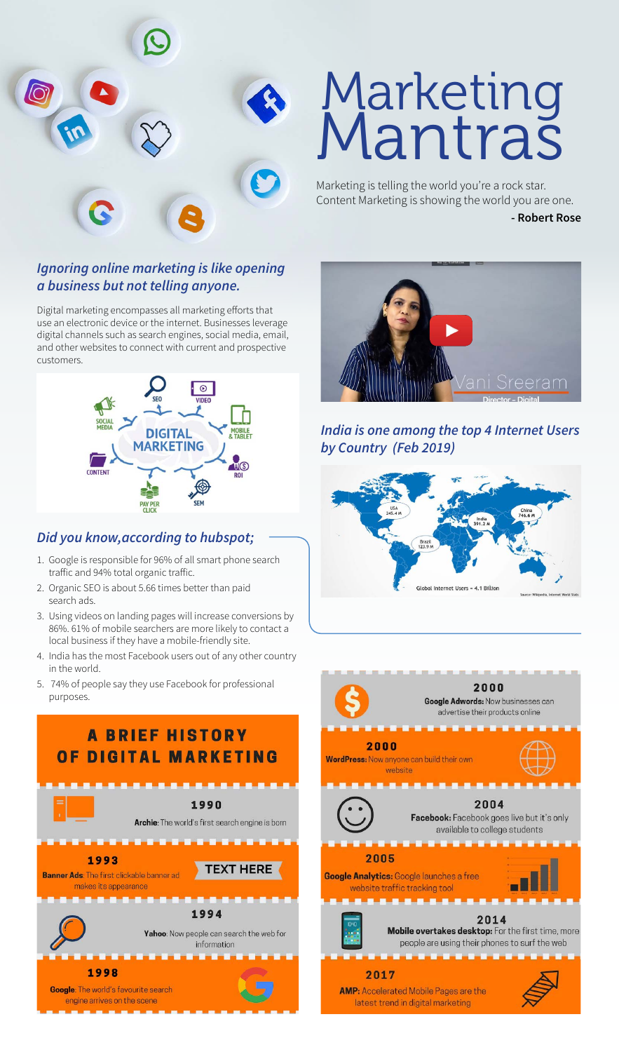

# Marketing **Mantras**

Marketing is telling the world you're a rock star. Content Marketing is showing the world you are one.

#### **- Robert Rose**

#### *Ignoring online marketing is like opening a business but not telling anyone.*

Digital marketing encompasses all marketing efforts that use an electronic device or the internet. Businesses leverage digital channels such as search engines, social media, email, and other websites to connect with current and prospective customers.



#### *Did you know,according to hubspot;*

- 1. Google is responsible for 96% of all smart phone search traffic and 94% total organic traffic.
- 2. Organic SEO is about 5.66 times better than paid search ads.
- 3. Using videos on landing pages will increase conversions by 86%. 61% of mobile searchers are more likely to contact a local business if they have a mobile-friendly site.
- 4. India has the most Facebook users out of any other country in the world.
- 5. 74% of people say they use Facebook for professional purposes.





#### *India is one among the top 4 Internet Users by Country (Feb 2019)*